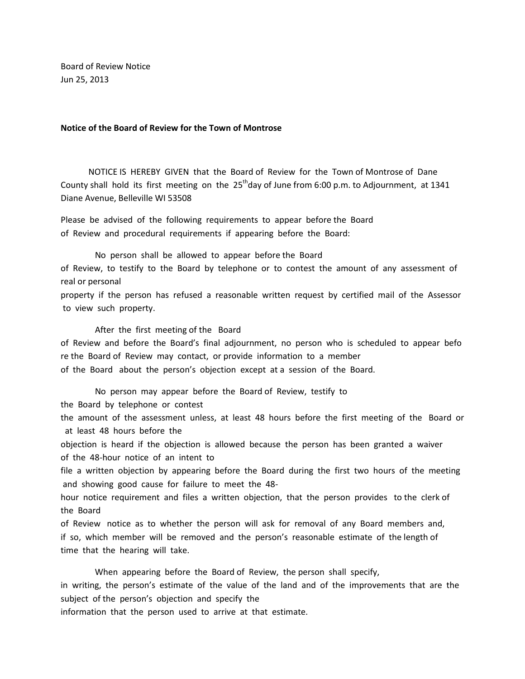Board of Review Notice Jun 25, 2013

## **Notice of the Board of Review for the Town of Montrose**

 NOTICE IS HEREBY GIVEN that the Board of Review for the Town of Montrose of Dane County shall hold its first meeting on the  $25<sup>th</sup>$ day of June from 6:00 p.m. to Adjournment, at 1341 Diane Avenue, Belleville WI 53508

Please be advised of the following requirements to appear before the Board of Review and procedural requirements if appearing before the Board:

 No person shall be allowed to appear before the Board of Review, to testify to the Board by telephone or to contest the amount of any assessment of real or personal

property if the person has refused a reasonable written request by certified mail of the Assessor to view such property.

After the first meeting of the Board

of Review and before the Board's final adjournment, no person who is scheduled to appear befo re the Board of Review may contact, or provide information to a member of the Board about the person's objection except at a session of the Board.

 No person may appear before the Board of Review, testify to the Board by telephone or contest

the amount of the assessment unless, at least 48 hours before the first meeting of the Board or at least 48 hours before the

objection is heard if the objection is allowed because the person has been granted a waiver of the 48-hour notice of an intent to

file a written objection by appearing before the Board during the first two hours of the meeting and showing good cause for failure to meet the 48-

hour notice requirement and files a written objection, that the person provides to the clerk of the Board

of Review notice as to whether the person will ask for removal of any Board members and, if so, which member will be removed and the person's reasonable estimate of the length of time that the hearing will take.

When appearing before the Board of Review, the person shall specify,

in writing, the person's estimate of the value of the land and of the improvements that are the subject of the person's objection and specify the

information that the person used to arrive at that estimate.